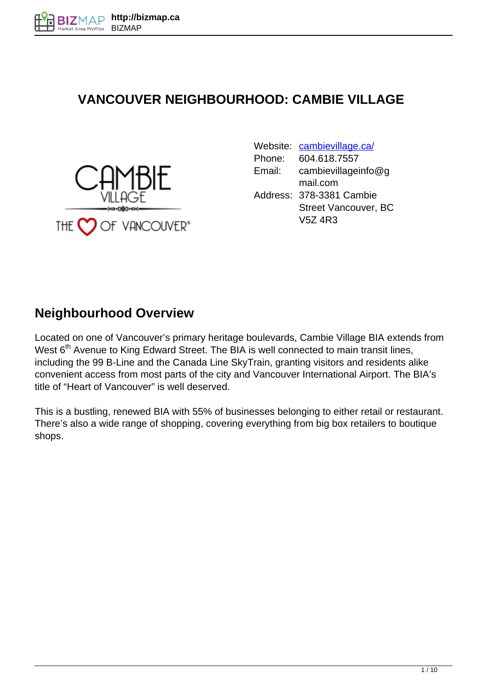### **VANCOUVER NEIGHBOURHOOD: CAMBIE VILLAGE**



|                      |        | Website: cambievillage.ca/ |
|----------------------|--------|----------------------------|
|                      | Phone: | 604.618.7557               |
|                      | Email: | cambievillageinfo@g        |
|                      |        | mail.com                   |
|                      |        | Address: 378-3381 Cambie   |
| والسرود والكالوروسية |        | Street Vancouver, BC       |
| )† VHNC ()UV†R″      |        | V5Z 4R3                    |

### **Neighbourhood Overview**

Located on one of Vancouver's primary heritage boulevards, Cambie Village BIA extends from West  $6<sup>th</sup>$  Avenue to King Edward Street. The BIA is well connected to main transit lines, including the 99 B-Line and the Canada Line SkyTrain, granting visitors and residents alike convenient access from most parts of the city and Vancouver International Airport. The BIA's title of "Heart of Vancouver" is well deserved.

This is a bustling, renewed BIA with 55% of businesses belonging to either retail or restaurant. There's also a wide range of shopping, covering everything from big box retailers to boutique shops.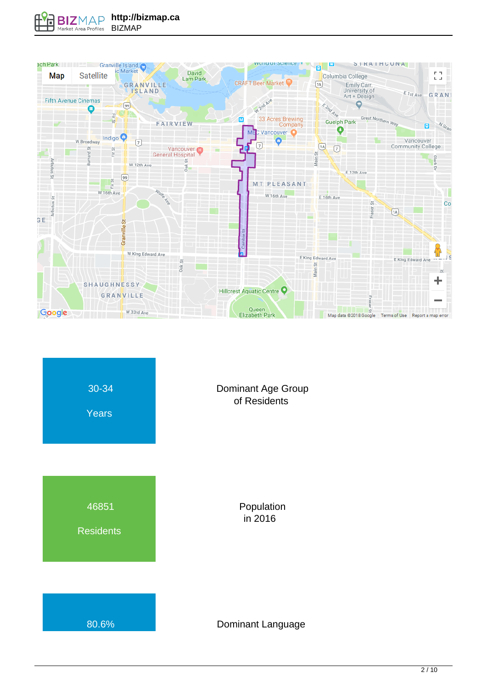

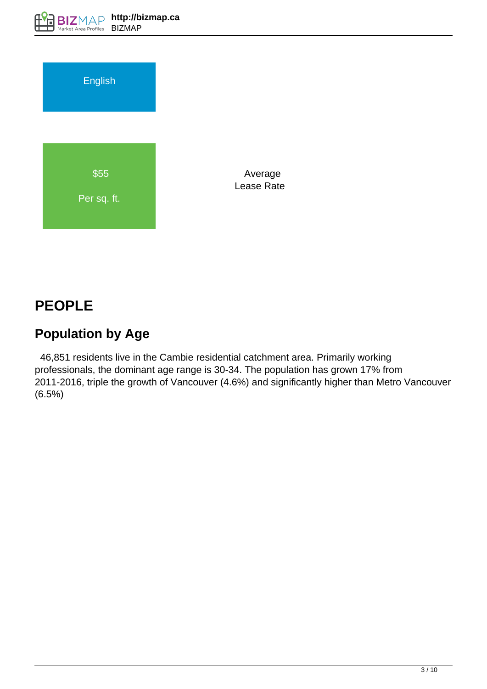

 Average Lease Rate

# **PEOPLE**

## **Population by Age**

 46,851 residents live in the Cambie residential catchment area. Primarily working professionals, the dominant age range is 30-34. The population has grown 17% from 2011-2016, triple the growth of Vancouver (4.6%) and significantly higher than Metro Vancouver (6.5%)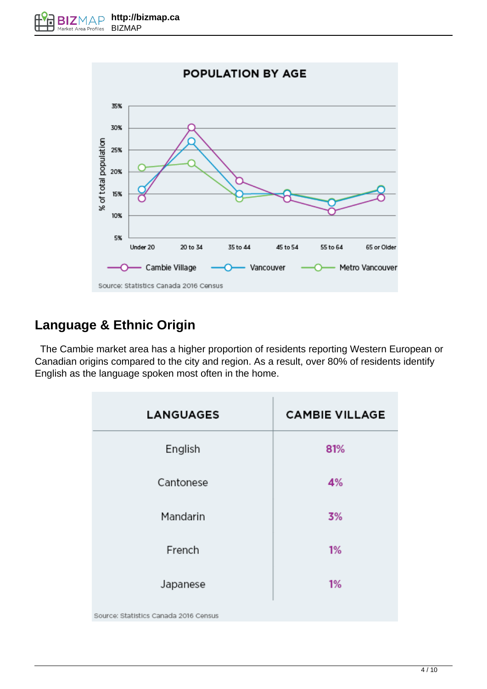

### **Language & Ethnic Origin**

 The Cambie market area has a higher proportion of residents reporting Western European or Canadian origins compared to the city and region. As a result, over 80% of residents identify English as the language spoken most often in the home.

| <b>LANGUAGES</b>                      | <b>CAMBIE VILLAGE</b> |
|---------------------------------------|-----------------------|
| English                               | 81%                   |
| Cantonese                             | 4%                    |
| Mandarin                              | 3%                    |
| French                                | 1%                    |
| Japanese                              | 1%                    |
| Source: Statistics Canada 2016 Census |                       |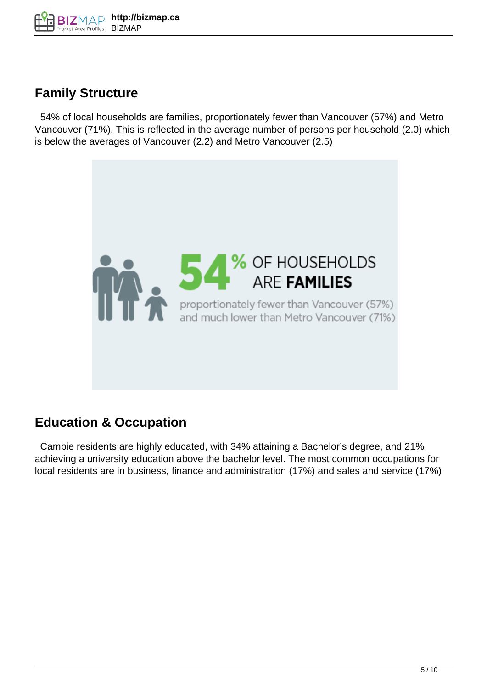

### **Family Structure**

 54% of local households are families, proportionately fewer than Vancouver (57%) and Metro Vancouver (71%). This is reflected in the average number of persons per household (2.0) which is below the averages of Vancouver (2.2) and Metro Vancouver (2.5)



#### **Education & Occupation**

 Cambie residents are highly educated, with 34% attaining a Bachelor's degree, and 21% achieving a university education above the bachelor level. The most common occupations for local residents are in business, finance and administration (17%) and sales and service (17%)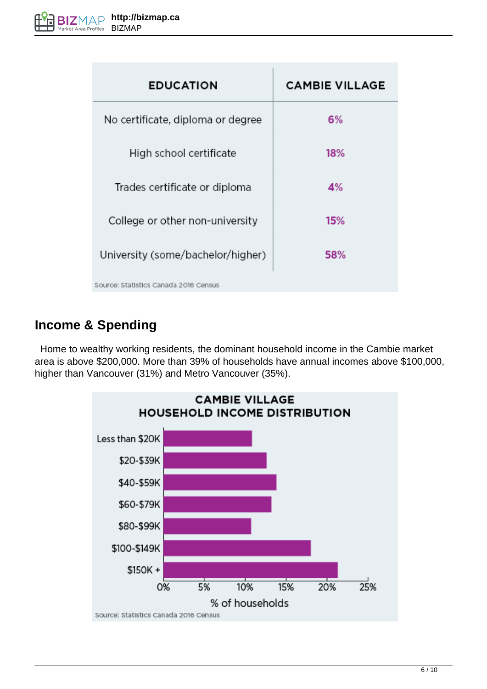| <b>EDUCATION</b>                      | <b>CAMBIE VILLAGE</b> |
|---------------------------------------|-----------------------|
| No certificate, diploma or degree     | 6%                    |
| High school certificate               | 18%                   |
| Trades certificate or diploma         | 4%                    |
| College or other non-university       | 15%                   |
| University (some/bachelor/higher)     | 58%                   |
| Source: Statistics Canada 2016 Census |                       |

#### **Income & Spending**

 Home to wealthy working residents, the dominant household income in the Cambie market area is above \$200,000. More than 39% of households have annual incomes above \$100,000, higher than Vancouver (31%) and Metro Vancouver (35%).

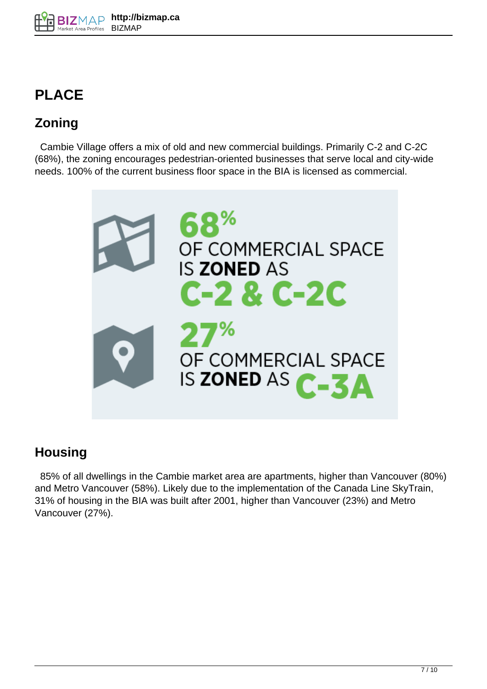# **PLACE**

## **Zoning**

 Cambie Village offers a mix of old and new commercial buildings. Primarily C-2 and C-2C (68%), the zoning encourages pedestrian-oriented businesses that serve local and city-wide needs. 100% of the current business floor space in the BIA is licensed as commercial.



### **Housing**

 85% of all dwellings in the Cambie market area are apartments, higher than Vancouver (80%) and Metro Vancouver (58%). Likely due to the implementation of the Canada Line SkyTrain, 31% of housing in the BIA was built after 2001, higher than Vancouver (23%) and Metro Vancouver (27%).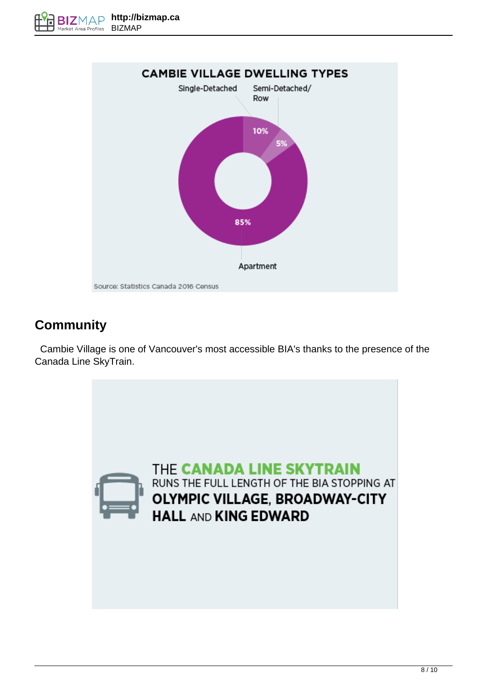

### **Community**

 Cambie Village is one of Vancouver's most accessible BIA's thanks to the presence of the Canada Line SkyTrain.

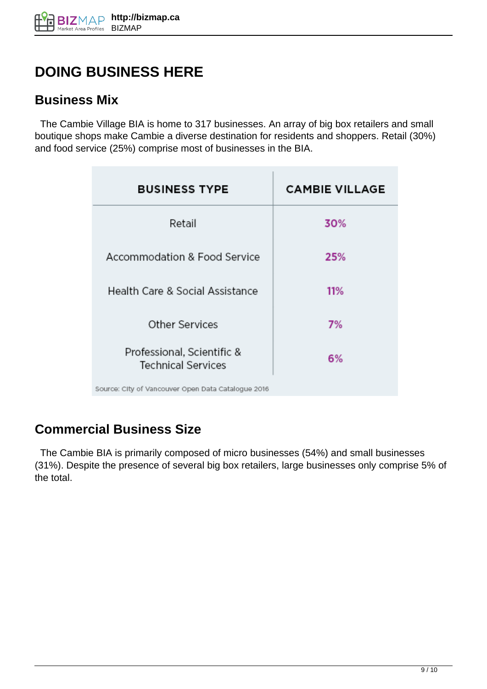# **DOING BUSINESS HERE**

#### **Business Mix**

 The Cambie Village BIA is home to 317 businesses. An array of big box retailers and small boutique shops make Cambie a diverse destination for residents and shoppers. Retail (30%) and food service (25%) comprise most of businesses in the BIA.

| <b>BUSINESS TYPE</b>                                    | <b>CAMBIE VILLAGE</b> |
|---------------------------------------------------------|-----------------------|
| Retail                                                  | 30%                   |
| Accommodation & Food Service                            | 25%                   |
| Health Care & Social Assistance                         | 11%                   |
| <b>Other Services</b>                                   | 7%                    |
| Professional, Scientific &<br><b>Technical Services</b> | 6%                    |
| Source: City of Vancouver Open Data Catalogue 2016      |                       |

### **Commercial Business Size**

 The Cambie BIA is primarily composed of micro businesses (54%) and small businesses (31%). Despite the presence of several big box retailers, large businesses only comprise 5% of the total.